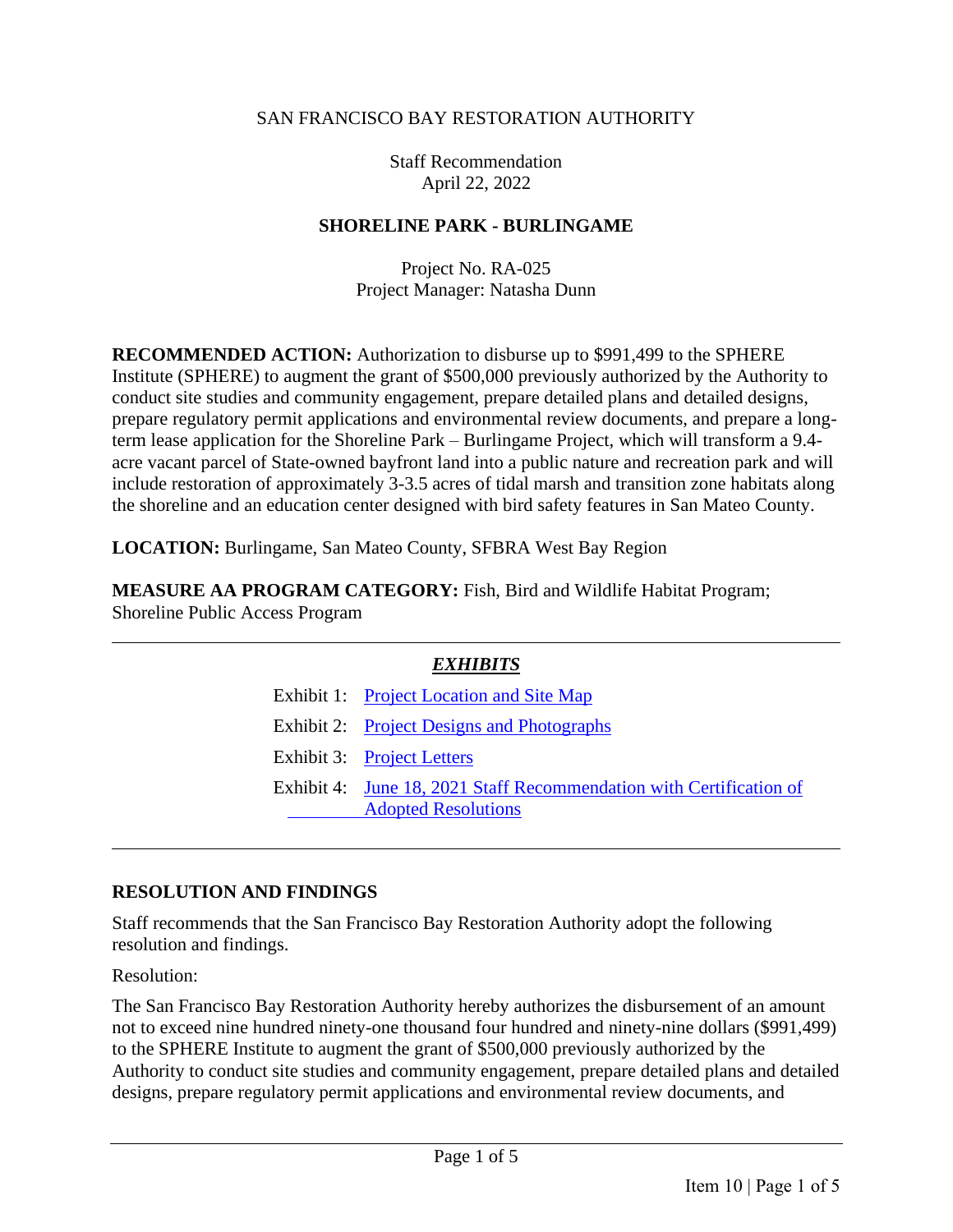### SAN FRANCISCO BAY RESTORATION AUTHORITY

Staff Recommendation April 22, 2022

### **SHORELINE PARK - BURLINGAME**

Project No. RA-025 Project Manager: Natasha Dunn

**RECOMMENDED ACTION:** Authorization to disburse up to \$991,499 to the SPHERE Institute (SPHERE) to augment the grant of \$500,000 previously authorized by the Authority to conduct site studies and community engagement, prepare detailed plans and detailed designs, prepare regulatory permit applications and environmental review documents, and prepare a longterm lease application for the Shoreline Park – Burlingame Project, which will transform a 9.4 acre vacant parcel of State-owned bayfront land into a public nature and recreation park and will include restoration of approximately 3-3.5 acres of tidal marsh and transition zone habitats along the shoreline and an education center designed with bird safety features in San Mateo County.

**LOCATION:** Burlingame, San Mateo County, SFBRA West Bay Region

**MEASURE AA PROGRAM CATEGORY:** Fish, Bird and Wildlife Habitat Program; Shoreline Public Access Program

| <b>EXHIBITS</b> |                                                                                                   |  |
|-----------------|---------------------------------------------------------------------------------------------------|--|
|                 | Exhibit 1: Project Location and Site Map                                                          |  |
|                 | Exhibit 2: Project Designs and Photographs                                                        |  |
|                 | Exhibit 3: Project Letters                                                                        |  |
|                 | Exhibit 4: June 18, 2021 Staff Recommendation with Certification of<br><b>Adopted Resolutions</b> |  |

### **RESOLUTION AND FINDINGS**

Staff recommends that the San Francisco Bay Restoration Authority adopt the following resolution and findings.

Resolution:

The San Francisco Bay Restoration Authority hereby authorizes the disbursement of an amount not to exceed nine hundred ninety-one thousand four hundred and ninety-nine dollars (\$991,499) to the SPHERE Institute to augment the grant of \$500,000 previously authorized by the Authority to conduct site studies and community engagement, prepare detailed plans and detailed designs, prepare regulatory permit applications and environmental review documents, and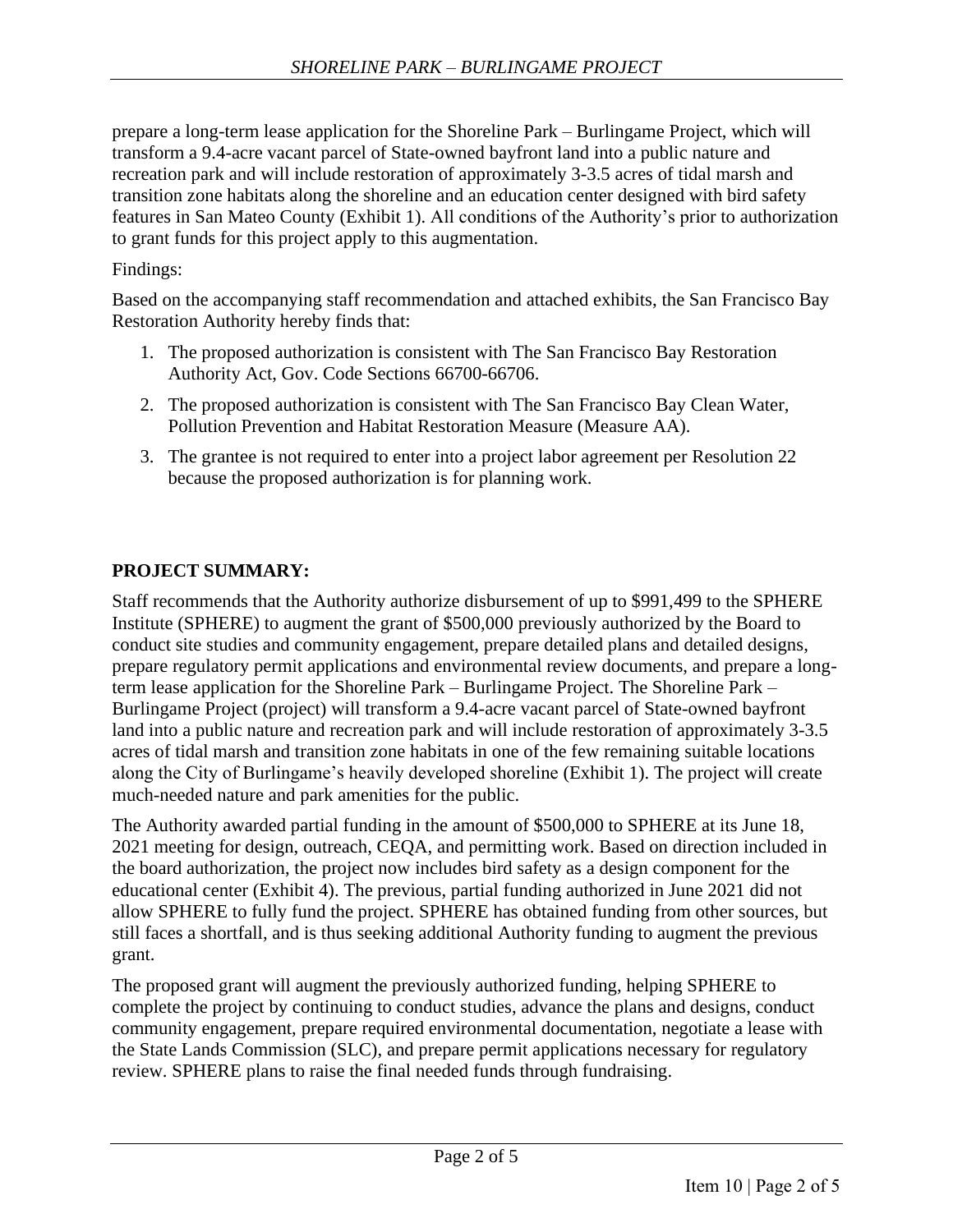prepare a long-term lease application for the Shoreline Park – Burlingame Project, which will transform a 9.4-acre vacant parcel of State-owned bayfront land into a public nature and recreation park and will include restoration of approximately 3-3.5 acres of tidal marsh and transition zone habitats along the shoreline and an education center designed with bird safety features in San Mateo County (Exhibit 1). All conditions of the Authority's prior to authorization to grant funds for this project apply to this augmentation.

## Findings:

Based on the accompanying staff recommendation and attached exhibits, the San Francisco Bay Restoration Authority hereby finds that:

- 1. The proposed authorization is consistent with The San Francisco Bay Restoration Authority Act, Gov. Code Sections 66700-66706.
- 2. The proposed authorization is consistent with The San Francisco Bay Clean Water, Pollution Prevention and Habitat Restoration Measure (Measure AA).
- 3. The grantee is not required to enter into a project labor agreement per Resolution 22 because the proposed authorization is for planning work.

## **PROJECT SUMMARY:**

Staff recommends that the Authority authorize disbursement of up to \$991,499 to the SPHERE Institute (SPHERE) to augment the grant of \$500,000 previously authorized by the Board to conduct site studies and community engagement, prepare detailed plans and detailed designs, prepare regulatory permit applications and environmental review documents, and prepare a longterm lease application for the Shoreline Park – Burlingame Project. The Shoreline Park – Burlingame Project (project) will transform a 9.4-acre vacant parcel of State-owned bayfront land into a public nature and recreation park and will include restoration of approximately 3-3.5 acres of tidal marsh and transition zone habitats in one of the few remaining suitable locations along the City of Burlingame's heavily developed shoreline (Exhibit 1). The project will create much-needed nature and park amenities for the public.

The Authority awarded partial funding in the amount of \$500,000 to SPHERE at its June 18, 2021 meeting for design, outreach, CEQA, and permitting work. Based on direction included in the board authorization, the project now includes bird safety as a design component for the educational center (Exhibit 4). The previous, partial funding authorized in June 2021 did not allow SPHERE to fully fund the project. SPHERE has obtained funding from other sources, but still faces a shortfall, and is thus seeking additional Authority funding to augment the previous grant.

The proposed grant will augment the previously authorized funding, helping SPHERE to complete the project by continuing to conduct studies, advance the plans and designs, conduct community engagement, prepare required environmental documentation, negotiate a lease with the State Lands Commission (SLC), and prepare permit applications necessary for regulatory review. SPHERE plans to raise the final needed funds through fundraising.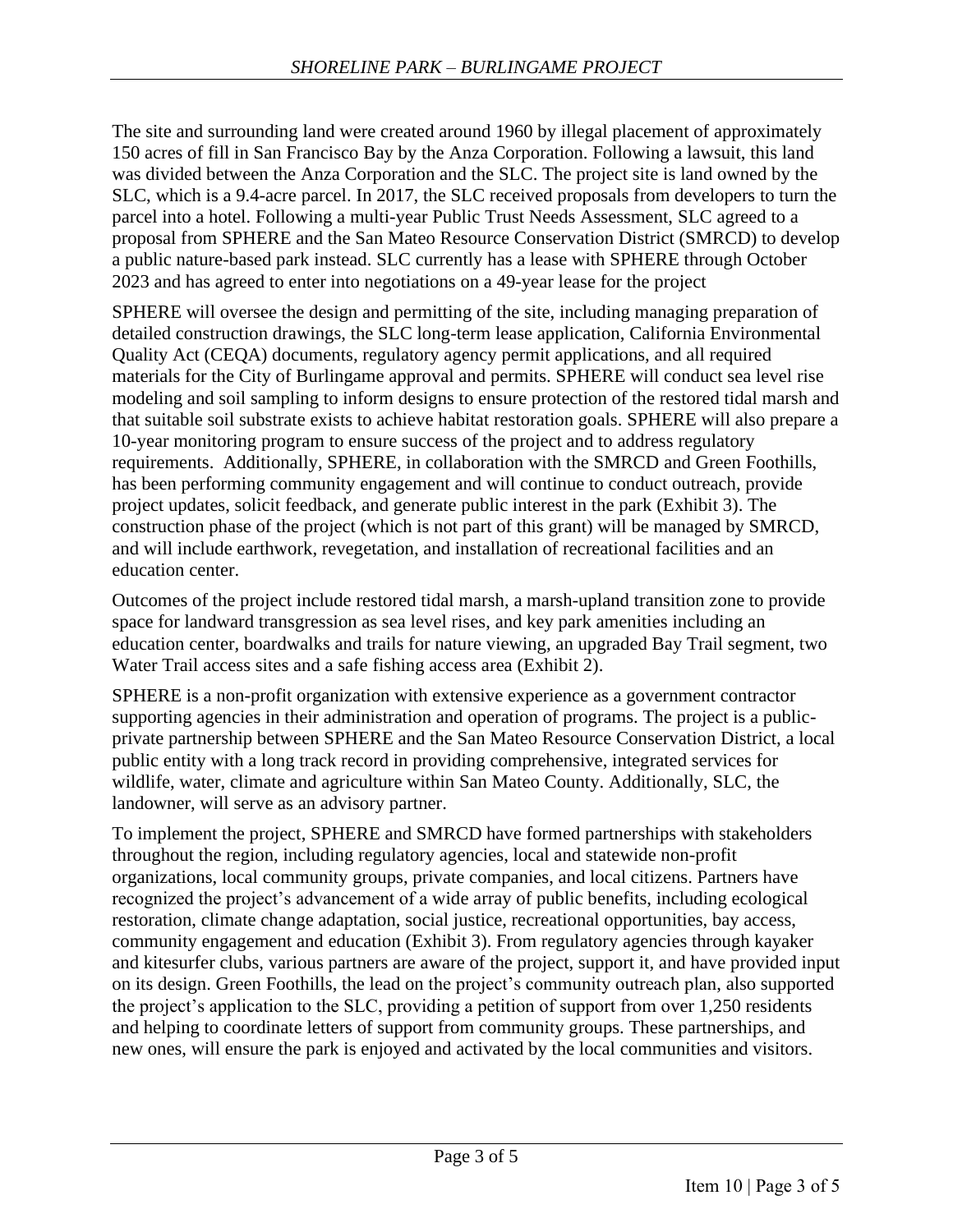The site and surrounding land were created around 1960 by illegal placement of approximately 150 acres of fill in San Francisco Bay by the Anza Corporation. Following a lawsuit, this land was divided between the Anza Corporation and the SLC. The project site is land owned by the SLC, which is a 9.4-acre parcel. In 2017, the SLC received proposals from developers to turn the parcel into a hotel. Following a multi-year Public Trust Needs Assessment, SLC agreed to a proposal from SPHERE and the San Mateo Resource Conservation District (SMRCD) to develop a public nature-based park instead. SLC currently has a lease with SPHERE through October 2023 and has agreed to enter into negotiations on a 49-year lease for the project

SPHERE will oversee the design and permitting of the site, including managing preparation of detailed construction drawings, the SLC long-term lease application, California Environmental Quality Act (CEQA) documents, regulatory agency permit applications, and all required materials for the City of Burlingame approval and permits. SPHERE will conduct sea level rise modeling and soil sampling to inform designs to ensure protection of the restored tidal marsh and that suitable soil substrate exists to achieve habitat restoration goals. SPHERE will also prepare a 10-year monitoring program to ensure success of the project and to address regulatory requirements. Additionally, SPHERE, in collaboration with the SMRCD and Green Foothills, has been performing community engagement and will continue to conduct outreach, provide project updates, solicit feedback, and generate public interest in the park (Exhibit 3). The construction phase of the project (which is not part of this grant) will be managed by SMRCD, and will include earthwork, revegetation, and installation of recreational facilities and an education center.

Outcomes of the project include restored tidal marsh, a marsh-upland transition zone to provide space for landward transgression as sea level rises, and key park amenities including an education center, boardwalks and trails for nature viewing, an upgraded Bay Trail segment, two Water Trail access sites and a safe fishing access area (Exhibit 2).

SPHERE is a non-profit organization with extensive experience as a government contractor supporting agencies in their administration and operation of programs. The project is a publicprivate partnership between SPHERE and the San Mateo Resource Conservation District, a local public entity with a long track record in providing comprehensive, integrated services for wildlife, water, climate and agriculture within San Mateo County. Additionally, SLC, the landowner, will serve as an advisory partner.

To implement the project, SPHERE and SMRCD have formed partnerships with stakeholders throughout the region, including regulatory agencies, local and statewide non-profit organizations, local community groups, private companies, and local citizens. Partners have recognized the project's advancement of a wide array of public benefits, including ecological restoration, climate change adaptation, social justice, recreational opportunities, bay access, community engagement and education (Exhibit 3). From regulatory agencies through kayaker and kitesurfer clubs, various partners are aware of the project, support it, and have provided input on its design. Green Foothills, the lead on the project's community outreach plan, also supported the project's application to the SLC, providing a petition of support from over 1,250 residents and helping to coordinate letters of support from community groups. These partnerships, and new ones, will ensure the park is enjoyed and activated by the local communities and visitors.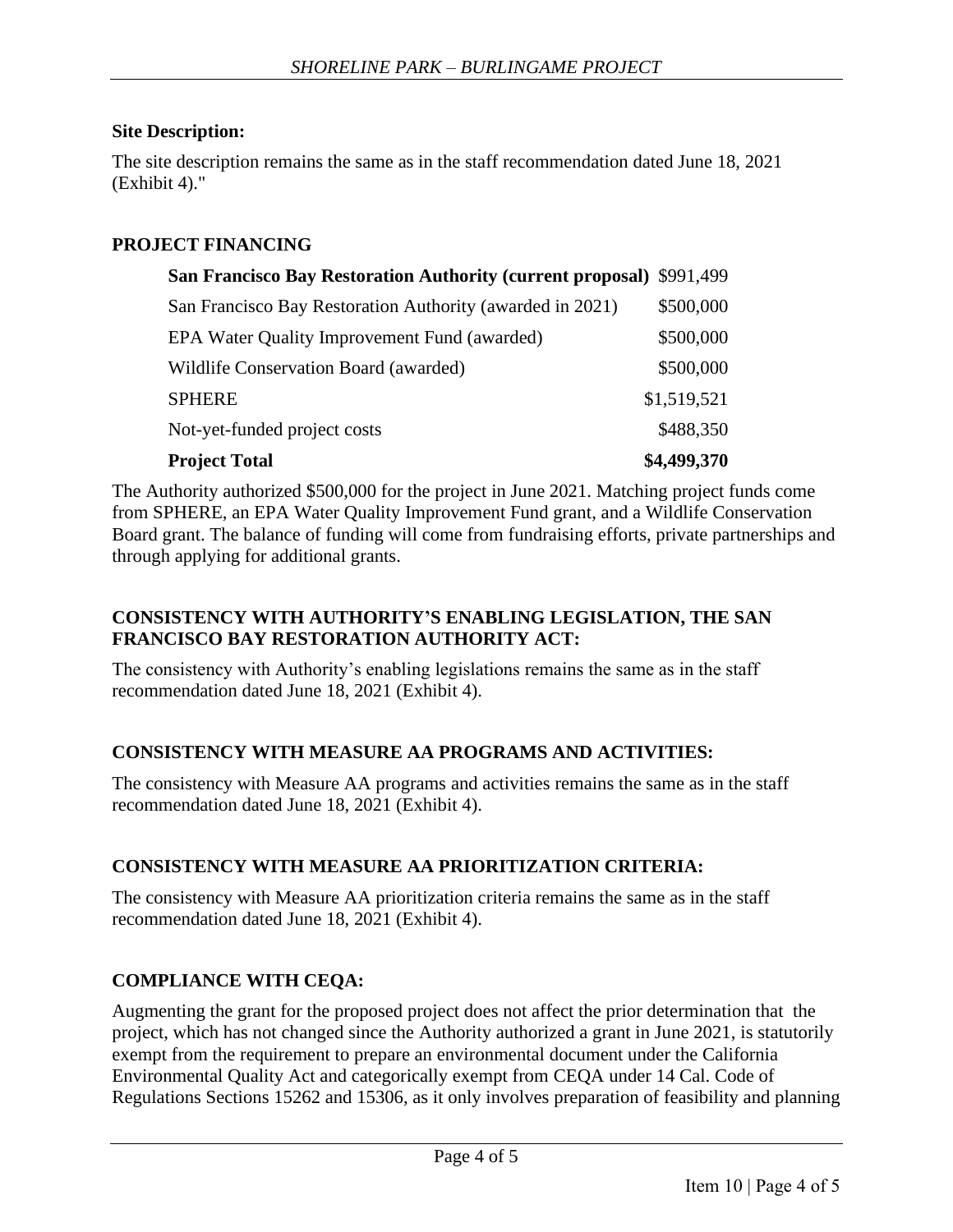## **Site Description:**

The site description remains the same as in the staff recommendation dated June 18, 2021 (Exhibit 4)."

# **PROJECT FINANCING**

| San Francisco Bay Restoration Authority (current proposal) \$991,499 |             |
|----------------------------------------------------------------------|-------------|
| San Francisco Bay Restoration Authority (awarded in 2021)            | \$500,000   |
| EPA Water Quality Improvement Fund (awarded)                         | \$500,000   |
| Wildlife Conservation Board (awarded)                                | \$500,000   |
| <b>SPHERE</b>                                                        | \$1,519,521 |
| Not-yet-funded project costs                                         | \$488,350   |
| <b>Project Total</b>                                                 | \$4,499,370 |

The Authority authorized \$500,000 for the project in June 2021. Matching project funds come from SPHERE, an EPA Water Quality Improvement Fund grant, and a Wildlife Conservation Board grant. The balance of funding will come from fundraising efforts, private partnerships and through applying for additional grants.

## **CONSISTENCY WITH AUTHORITY'S ENABLING LEGISLATION, THE SAN FRANCISCO BAY RESTORATION AUTHORITY ACT:**

The consistency with Authority's enabling legislations remains the same as in the staff recommendation dated June 18, 2021 (Exhibit 4).

## **CONSISTENCY WITH MEASURE AA PROGRAMS AND ACTIVITIES:**

The consistency with Measure AA programs and activities remains the same as in the staff recommendation dated June 18, 2021 (Exhibit 4).

## **CONSISTENCY WITH MEASURE AA PRIORITIZATION CRITERIA:**

The consistency with Measure AA prioritization criteria remains the same as in the staff recommendation dated June 18, 2021 (Exhibit 4).

## **COMPLIANCE WITH CEQA:**

Augmenting the grant for the proposed project does not affect the prior determination that the project, which has not changed since the Authority authorized a grant in June 2021, is statutorily exempt from the requirement to prepare an environmental document under the California Environmental Quality Act and categorically exempt from CEQA under 14 Cal. Code of Regulations Sections 15262 and 15306, as it only involves preparation of feasibility and planning